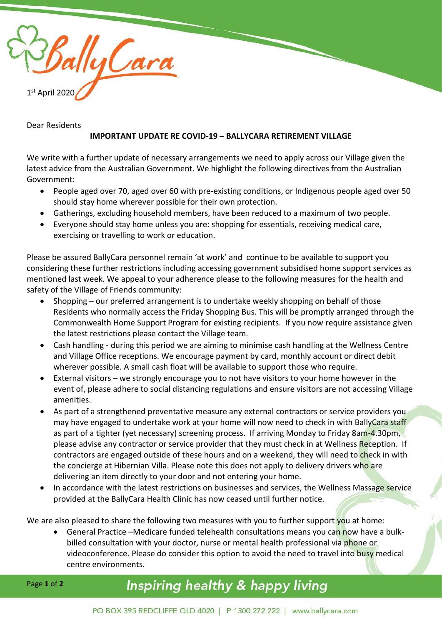

## Dear Residents

## **IMPORTANT UPDATE RE COVID-19 – BALLYCARA RETIREMENT VILLAGE**

We write with a further update of necessary arrangements we need to apply across our Village given the latest advice from the Australian Government. We highlight the following directives from the Australian Government:

- People aged over 70, aged over 60 with pre-existing conditions, or Indigenous people aged over 50 should stay home wherever possible for their own protection.
- Gatherings, excluding household members, have been reduced to a maximum of two people.
- Everyone should stay home unless you are: shopping for essentials, receiving medical care, exercising or travelling to work or education.

Please be assured BallyCara personnel remain 'at work' and continue to be available to support you considering these further restrictions including accessing government subsidised home support services as mentioned last week. We appeal to your adherence please to the following measures for the health and safety of the Village of Friends community:

- Shopping our preferred arrangement is to undertake weekly shopping on behalf of those Residents who normally access the Friday Shopping Bus. This will be promptly arranged through the Commonwealth Home Support Program for existing recipients. If you now require assistance given the latest restrictions please contact the Village team.
- Cash handling during this period we are aiming to minimise cash handling at the Wellness Centre and Village Office receptions. We encourage payment by card, monthly account or direct debit wherever possible. A small cash float will be available to support those who require.
- External visitors we strongly encourage you to not have visitors to your home however in the event of, please adhere to social distancing regulations and ensure visitors are not accessing Village amenities.
- As part of a strengthened preventative measure any external contractors or service providers you may have engaged to undertake work at your home will now need to check in with BallyCara staff as part of a tighter (yet necessary) screening process. If arriving Monday to Friday 8am-4.30pm, please advise any contractor or service provider that they must check in at Wellness Reception. If contractors are engaged outside of these hours and on a weekend, they will need to check in with the concierge at Hibernian Villa. Please note this does not apply to delivery drivers who are delivering an item directly to your door and not entering your home.
- In accordance with the latest restrictions on businesses and services, the Wellness Massage service provided at the BallyCara Health Clinic has now ceased until further notice.

We are also pleased to share the following two measures with you to further support you at home:

General Practice –Medicare funded telehealth consultations means you can now have a bulkbilled consultation with your doctor, nurse or mental health professional via phone or videoconference. Please do consider this option to avoid the need to travel into busy medical centre environments.

## Inspiring healthy & happy living